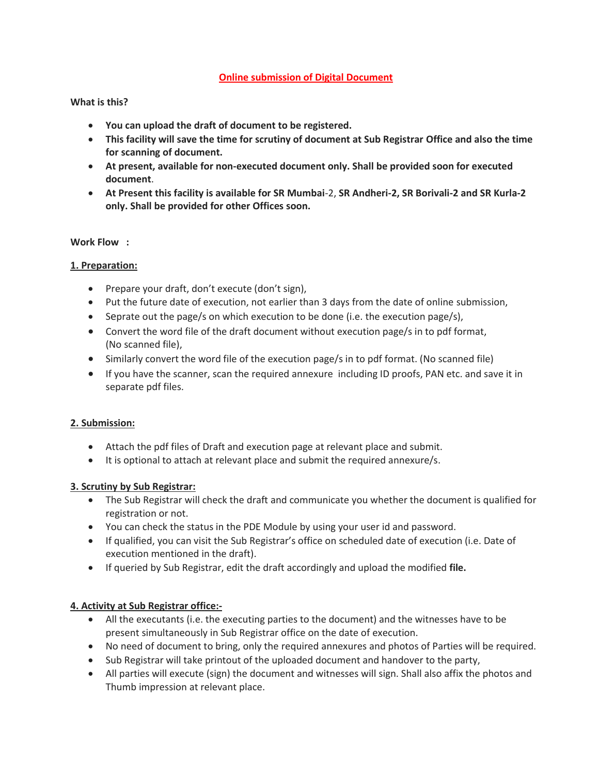### **Online submission of Digital Document**

### **What is this?**

- **You can upload the draft of document to be registered.**
- **This facility will save the time for scrutiny of document at Sub Registrar Office and also the time for scanning of document.**
- **At present, available for non-executed document only. Shall be provided soon for executed document**.
- **At Present this facility is available for SR Mumbai**-2, **SR Andheri-2, SR Borivali-2 and SR Kurla-2 only. Shall be provided for other Offices soon.**

#### **Work Flow :**

### **1. Preparation:**

- Prepare your draft, don't execute (don't sign),
- Put the future date of execution, not earlier than 3 days from the date of online submission,
- Seprate out the page/s on which execution to be done (i.e. the execution page/s),
- Convert the word file of the draft document without execution page/s in to pdf format, (No scanned file),
- Similarly convert the word file of the execution page/s in to pdf format. (No scanned file)
- If you have the scanner, scan the required annexure including ID proofs, PAN etc. and save it in separate pdf files.

### **2. Submission:**

- Attach the pdf files of Draft and execution page at relevant place and submit.
- It is optional to attach at relevant place and submit the required annexure/s.

### **3. Scrutiny by Sub Registrar:**

- The Sub Registrar will check the draft and communicate you whether the document is qualified for registration or not.
- You can check the status in the PDE Module by using your user id and password.
- If qualified, you can visit the Sub Registrar's office on scheduled date of execution (i.e. Date of execution mentioned in the draft).
- If queried by Sub Registrar, edit the draft accordingly and upload the modified **file.**

### **4. Activity at Sub Registrar office:-**

- All the executants (i.e. the executing parties to the document) and the witnesses have to be present simultaneously in Sub Registrar office on the date of execution.
- No need of document to bring, only the required annexures and photos of Parties will be required.
- Sub Registrar will take printout of the uploaded document and handover to the party,
- All parties will execute (sign) the document and witnesses will sign. Shall also affix the photos and Thumb impression at relevant place.